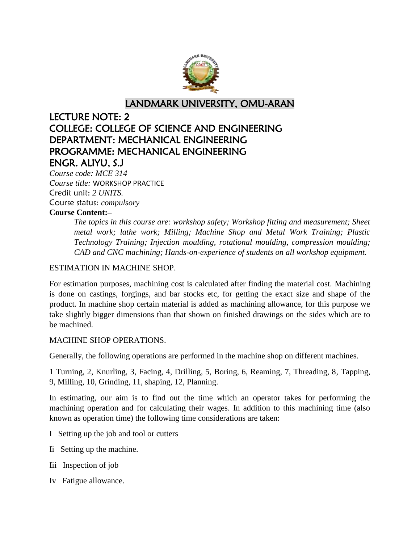

LANDMARK UNIVERSITY, OMU-ARAN

# LECTURE NOTE: 2 COLLEGE: COLLEGE OF SCIENCE AND ENGINEERING DEPARTMENT: MECHANICAL ENGINEERING PROGRAMME: MECHANICAL ENGINEERING ENGR. ALIYU, S.J

*Course code: MCE 314 Course title:* WORKSHOP PRACTICE Credit unit: *2 UNITS.* Course status: *compulsory*

# **Course Content:–**

*The topics in this course are: workshop safety; Workshop fitting and measurement; Sheet metal work; lathe work; Milling; Machine Shop and Metal Work Training; Plastic Technology Training; Injection moulding, rotational moulding, compression moulding; CAD and CNC machining; Hands-on-experience of students on all workshop equipment.*

# ESTIMATION IN MACHINE SHOP.

For estimation purposes, machining cost is calculated after finding the material cost. Machining is done on castings, forgings, and bar stocks etc, for getting the exact size and shape of the product. In machine shop certain material is added as machining allowance, for this purpose we take slightly bigger dimensions than that shown on finished drawings on the sides which are to be machined.

### MACHINE SHOP OPERATIONS.

Generally, the following operations are performed in the machine shop on different machines.

1 Turning, 2, Knurling, 3, Facing, 4, Drilling, 5, Boring, 6, Reaming, 7, Threading, 8, Tapping, 9, Milling, 10, Grinding, 11, shaping, 12, Planning.

In estimating, our aim is to find out the time which an operator takes for performing the machining operation and for calculating their wages. In addition to this machining time (also known as operation time) the following time considerations are taken:

- I Setting up the job and tool or cutters
- Ii Setting up the machine.
- Iii Inspection of job
- Iv Fatigue allowance.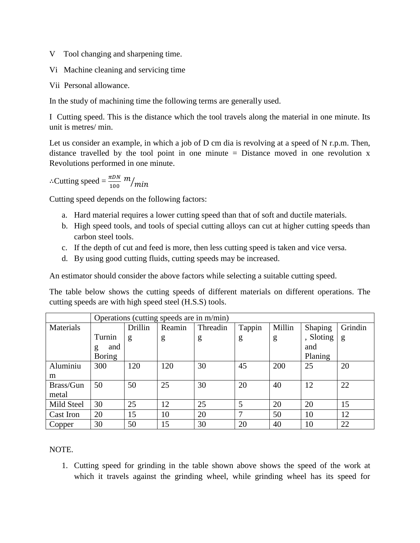- V Tool changing and sharpening time.
- Vi Machine cleaning and servicing time
- Vii Personal allowance.

In the study of machining time the following terms are generally used.

I Cutting speed. This is the distance which the tool travels along the material in one minute. Its unit is metres/ min.

Let us consider an example, in which a job of D cm dia is revolving at a speed of N r.p.m. Then, distance travelled by the tool point in one minute  $=$  Distance moved in one revolution x Revolutions performed in one minute.

 $\therefore$ Cutting speed =  $\frac{\pi}{1}$  $m/$ 

Cutting speed depends on the following factors:

- a. Hard material requires a lower cutting speed than that of soft and ductile materials.
- b. High speed tools, and tools of special cutting alloys can cut at higher cutting speeds than carbon steel tools.
- c. If the depth of cut and feed is more, then less cutting speed is taken and vice versa.
- d. By using good cutting fluids, cutting speeds may be increased.

An estimator should consider the above factors while selecting a suitable cutting speed.

The table below shows the cutting speeds of different materials on different operations. The cutting speeds are with high speed steel (H.S.S) tools.

|            | Operations (cutting speeds are in m/min) |         |        |          |        |        |           |         |  |  |  |
|------------|------------------------------------------|---------|--------|----------|--------|--------|-----------|---------|--|--|--|
| Materials  |                                          | Drillin | Reamin | Threadin | Tappin | Millin | Shaping   | Grindin |  |  |  |
|            | Turnin                                   | g       | g      | g        | g      | g      | , Sloting | g       |  |  |  |
|            | and<br>g                                 |         |        |          |        |        | and       |         |  |  |  |
|            | <b>Boring</b>                            |         |        |          |        |        | Planing   |         |  |  |  |
| Aluminiu   | 300                                      | 120     | 120    | 30       | 45     | 200    | 25        | 20      |  |  |  |
| m          |                                          |         |        |          |        |        |           |         |  |  |  |
| Brass/Gun  | 50                                       | 50      | 25     | 30       | 20     | 40     | 12        | 22      |  |  |  |
| metal      |                                          |         |        |          |        |        |           |         |  |  |  |
| Mild Steel | 30                                       | 25      | 12     | 25       | 5      | 20     | 20        | 15      |  |  |  |
| Cast Iron  | 20                                       | 15      | 10     | 20       | 7      | 50     | 10        | 12      |  |  |  |
| Copper     | 30                                       | 50      | 15     | 30       | 20     | 40     | 10        | 22      |  |  |  |

NOTE.

1. Cutting speed for grinding in the table shown above shows the speed of the work at which it travels against the grinding wheel, while grinding wheel has its speed for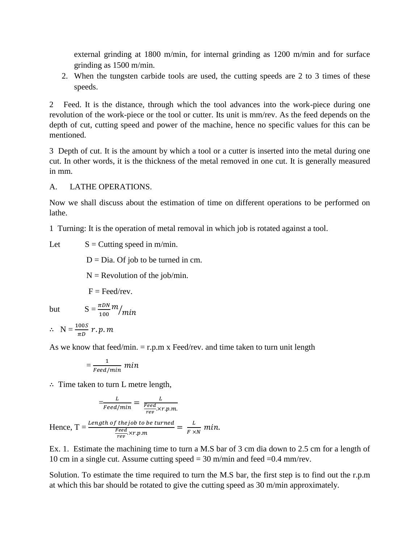external grinding at 1800 m/min, for internal grinding as 1200 m/min and for surface grinding as 1500 m/min.

2. When the tungsten carbide tools are used, the cutting speeds are 2 to 3 times of these speeds.

2 Feed. It is the distance, through which the tool advances into the work-piece during one revolution of the work-piece or the tool or cutter. Its unit is mm/rev. As the feed depends on the depth of cut, cutting speed and power of the machine, hence no specific values for this can be mentioned.

3 Depth of cut. It is the amount by which a tool or a cutter is inserted into the metal during one cut. In other words, it is the thickness of the metal removed in one cut. It is generally measured in mm.

A. LATHE OPERATIONS.

Now we shall discuss about the estimation of time on different operations to be performed on lathe.

1 Turning: It is the operation of metal removal in which job is rotated against a tool.

Let  $S =$  Cutting speed in m/min.

 $D = Dia$ . Of job to be turned in cm.

 $N =$  Revolution of the job/min.

 $F = \text{Feed/rev}$ .

 $\frac{m}{m}$ 

but  $S = \frac{\pi}{1}$ 

$$
\therefore N = \frac{100S}{\pi D} r.p.m
$$

As we know that feed/min.  $=$  r.p.m x Feed/rev. and time taken to turn unit length

$$
= \frac{1}{\textit{feed/min}}\ \textit{min}
$$

 $\therefore$  Time taken to turn L metre length,

$$
\frac{L}{\frac{Feed/min}{Feed/min}} = \frac{L}{\frac{Feed}{rev} \times r.p.m.}
$$
  
Hence, T = 
$$
\frac{Length \ of \ the job \ to \ be \ turned}{\frac{Feed}{rev} \times r.p.m} = \frac{L}{F \times N} \ min.
$$

Ex. 1. Estimate the machining time to turn a M.S bar of 3 cm dia down to 2.5 cm for a length of 10 cm in a single cut. Assume cutting speed = 30 m/min and feed =0.4 mm/rev.

Solution. To estimate the time required to turn the M.S bar, the first step is to find out the r.p.m at which this bar should be rotated to give the cutting speed as 30 m/min approximately.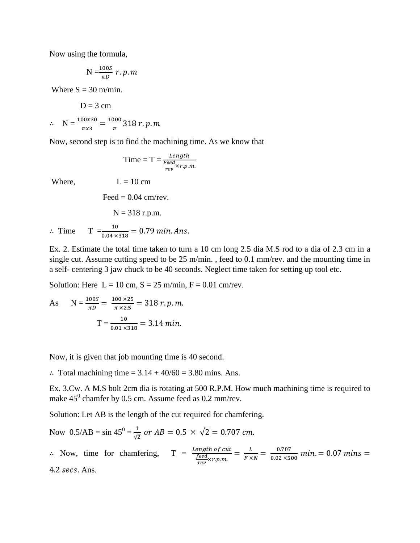Now using the formula,

$$
N=\frac{100S}{\pi D} r.p.m
$$

Where  $S = 30$  m/min.

$$
D = 3 \text{ cm}
$$
  

$$
\therefore N = \frac{100x30}{\pi x3} = \frac{1000}{\pi} 318 \text{ r. } p.m
$$

Now, second step is to find the machining time. As we know that

$$
Time = T = \frac{Length}{\frac{Feed}{rev} \times r.p.m.}
$$

Where,  $L = 10 \text{ cm}$ 

Feed  $= 0.04$  cm/rev.

$$
N = 318 \text{ r.p.m.}
$$

 $\therefore$  Time T  $\frac{10}{0.04 \times 318}$  =

Ex. 2. Estimate the total time taken to turn a 10 cm long 2.5 dia M.S rod to a dia of 2.3 cm in a single cut. Assume cutting speed to be 25 m/min. , feed to 0.1 mm/rev. and the mounting time in a self- centering 3 jaw chuck to be 40 seconds. Neglect time taken for setting up tool etc.

Solution: Here  $L = 10$  cm,  $S = 25$  m/min,  $F = 0.01$  cm/rev.

As 
$$
N = \frac{100S}{\pi D} = \frac{100 \times 25}{\pi \times 2.5} = 318 r. p.m.
$$
  

$$
T = \frac{10}{0.01 \times 318} = 3.14 \text{ min.}
$$

Now, it is given that job mounting time is 40 second.

 $\therefore$  Total machining time = 3.14 + 40/60 = 3.80 mins. Ans.

Ex. 3.Cw. A M.S bolt 2cm dia is rotating at 500 R.P.M. How much machining time is required to make  $45^0$  chamfer by 0.5 cm. Assume feed as 0.2 mm/rev.

Solution: Let AB is the length of the cut required for chamfering.

Now 
$$
0.5/AB = \sin 45^\circ = \frac{1}{\sqrt{2}}
$$
 or  $AB = 0.5 \times \sqrt{2} = 0.707$  cm.  
\n $\therefore$  Now, time for chamfering,  $T = \frac{length \ of \ cut}{feed \times r.p.m.} = \frac{L}{F \times N} = \frac{0.707}{0.02 \times 500}$  min. = 0.07 mins = 4.2 secs. Ans.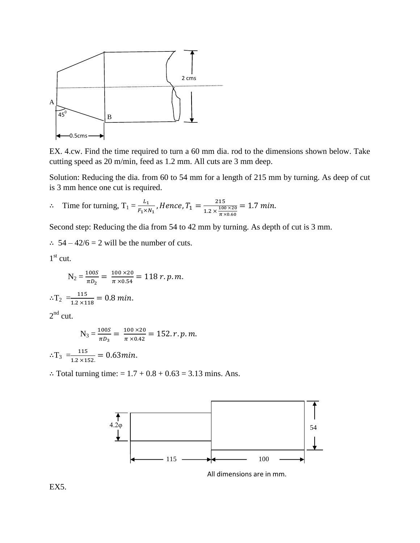

EX. 4.cw. Find the time required to turn a 60 mm dia. rod to the dimensions shown below. Take cutting speed as 20 m/min, feed as 1.2 mm. All cuts are 3 mm deep.

Solution: Reducing the dia. from 60 to 54 mm for a length of 215 mm by turning. As deep of cut is 3 mm hence one cut is required.

$$
\therefore \quad \text{Time for turning, } \mathrm{T}_1 = \frac{L_1}{F_1 \times N_1}, \text{Hence, } T_1 = \frac{215}{1.2 \times \frac{100 \times 20}{\pi \times 0.60}} = 1.7 \text{ min.}
$$

Second step: Reducing the dia from 54 to 42 mm by turning. As depth of cut is 3 mm.

 $\therefore$  54 – 42/6 = 2 will be the number of cuts.

1<sup>st</sup> cut.

$$
N_2 = \frac{100S}{\pi D_2} = \frac{100 \times 20}{\pi \times 0.54} = 118 r. p.m.
$$
  

$$
\therefore T_2 = \frac{115}{1.2 \times 118} = 0.8 \text{ min.}
$$

 $2<sup>nd</sup>$  cut.

$$
N_3 = \frac{100S}{\pi D_3} = \frac{100 \times 20}{\pi \times 0.42} = 152. r. p.m.
$$

$$
\therefore T_3 = \frac{115}{1.2 \times 152} = 0.63 \text{min.}
$$

 $\therefore$  Total turning time: = 1.7 + 0.8 + 0.63 = 3.13 mins. Ans.



All dimensions are in mm.

EX5.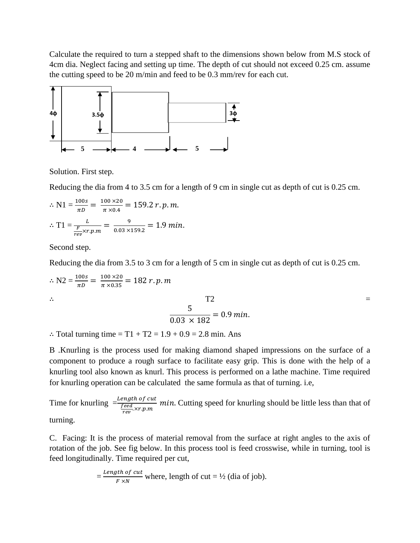Calculate the required to turn a stepped shaft to the dimensions shown below from M.S stock of 4cm dia. Neglect facing and setting up time. The depth of cut should not exceed 0.25 cm. assume the cutting speed to be 20 m/min and feed to be 0.3 mm/rev for each cut.



Solution. First step.

Reducing the dia from 4 to 3.5 cm for a length of 9 cm in single cut as depth of cut is 0.25 cm.

$$
\therefore N1 = \frac{100s}{\pi D} = \frac{100 \times 20}{\pi \times 0.4} = 159.2 r. p.m.
$$
  

$$
\therefore T1 = \frac{L}{\frac{F}{rev} \times r.p.m} = \frac{9}{0.03 \times 159.2} = 1.9 min.
$$

Second step.

Reducing the dia from 3.5 to 3 cm for a length of 5 cm in single cut as depth of cut is 0.25 cm.

$$
\therefore N2 = \frac{100s}{\pi D} = \frac{100 \times 20}{\pi \times 0.35} = 182 r. p.m
$$
  

$$
\therefore T2
$$
  

$$
\frac{5}{0.03 \times 182} = 0.9 \text{ min.}
$$

 $\therefore$  Total turning time = T1 + T2 = 1.9 + 0.9 = 2.8 min. Ans

B .Knurling is the process used for making diamond shaped impressions on the surface of a component to produce a rough surface to facilitate easy grip. This is done with the help of a knurling tool also known as knurl. This process is performed on a lathe machine. Time required for knurling operation can be calculated the same formula as that of turning. i.e,

Time for knurling  $=\frac{Le}{f}$  $\frac{C_{red}}{T_{red}}$   $\frac{C_{red}}{N}$   $\frac{C_{red}}{N}$   $\frac{C_{red}}{N}$   $\frac{C_{red}}{N}$   $\frac{C_{red}}{N}$   $\frac{C_{red}}{N}$   $\frac{C_{red}}{N}$   $\frac{C_{red}}{N}$   $\frac{C_{red}}{N}$   $\frac{C_{red}}{N}$   $\frac{C_{red}}{N}$   $\frac{C_{red}}{N}$   $\frac{C_{red}}{N}$   $\frac{C_{red}}{N}$   $\frac{C_{red}}{N}$   $\frac{C_{red}}{N}$ turning.

C. Facing: It is the process of material removal from the surface at right angles to the axis of rotation of the job. See fig below. In this process tool is feed crosswise, while in turning, tool is feed longitudinally. Time required per cut,

$$
= \frac{Length\ of\ cut}{F \times N}
$$
 where, length of cut = ½ (dia of job).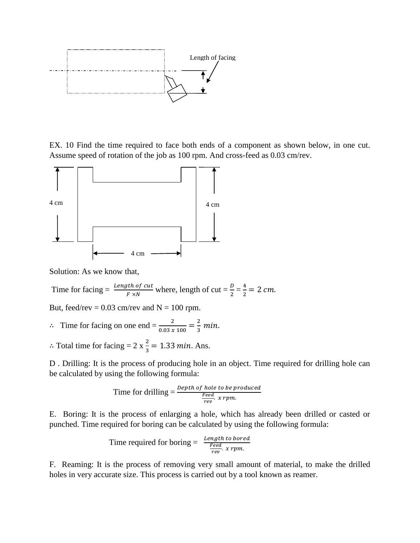

EX. 10 Find the time required to face both ends of a component as shown below, in one cut. Assume speed of rotation of the job as 100 rpm. And cross-feed as 0.03 cm/rev.



Solution: As we know that,

Time for facing = 
$$
\frac{Length\ of\ cut}{F \times N}
$$
 where, length of cut =  $\frac{D}{2} = \frac{4}{2} = 2 \ cm$ .

But, feed/rev =  $0.03$  cm/rev and N = 100 rpm.

$$
\therefore
$$
 Time for facing on one end =  $\frac{2}{0.03 \times 100} = \frac{2}{3} \text{ min.}$ 

: Total time for facing =  $2 \times \frac{2}{3} = 1.33$  min. Ans.

D . Drilling: It is the process of producing hole in an object. Time required for drilling hole can be calculated by using the following formula:

Time for drilling 
$$
=
$$
  $\frac{Depth\ of\ hole\ to\ be\ produced}{\frac{Feed}{rev}} \ x\ rpm.$ 

E. Boring: It is the process of enlarging a hole, which has already been drilled or casted or punched. Time required for boring can be calculated by using the following formula:

Time required for boring = 
$$
\frac{Length\ to\ bored}{\frac{Feed}{rev} \cdot x\ rpm}
$$

F. Reaming: It is the process of removing very small amount of material, to make the drilled holes in very accurate size. This process is carried out by a tool known as reamer.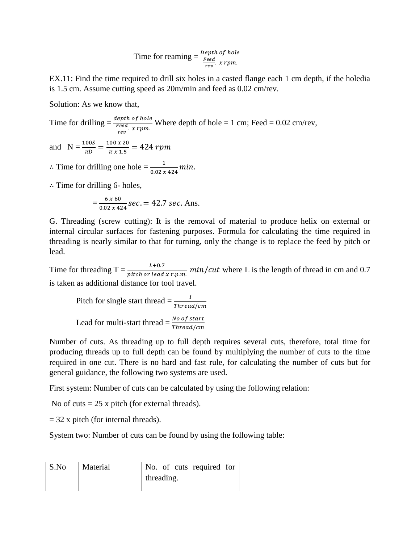$$
Time for reaming = \frac{Depth\ of\ hole}{\frac{Feed}{rev}} \, x \, rpm.
$$

EX.11: Find the time required to drill six holes in a casted flange each 1 cm depth, if the holedia is 1.5 cm. Assume cutting speed as 20m/min and feed as 0.02 cm/rev.

Solution: As we know that,

Time for drilling = 
$$
\frac{depth\ of\ hole}{\frac{feed}{rev}}
$$
. *x rpm*. Where depth of hole = 1 cm; Feed = 0.02 cm/rev,

and  $N = \frac{100S}{\pi D} = \frac{1}{3}$  $\frac{\frac{36 \times 20}{\pi \times 1.5}}{\pi \times 1.5}$ 

 $\therefore$  Time for drilling one hole =  $\frac{1}{0.02 \times 424}$  m

 $\therefore$  Time for drilling 6- holes,

$$
=\frac{6\times60}{0.02\times424}sec. = 42.7 sec. Ans.
$$

G. Threading (screw cutting): It is the removal of material to produce helix on external or internal circular surfaces for fastening purposes. Formula for calculating the time required in threading is nearly similar to that for turning, only the change is to replace the feed by pitch or lead.

Time for threading  $T = \frac{E + 0.7}{pitch\ or\ lead\ x\ r.p.m.}$  min/cut where L is the length of thread in cm and 0.7 is taken as additional distance for tool travel.

Pitch for single start thread  $=\frac{1}{T}$ Lead for multi-start thread  $=\frac{N}{T}$ 

Number of cuts. As threading up to full depth requires several cuts, therefore, total time for producing threads up to full depth can be found by multiplying the number of cuts to the time required in one cut. There is no hard and fast rule, for calculating the number of cuts but for general guidance, the following two systems are used.

First system: Number of cuts can be calculated by using the following relation:

No of cuts  $= 25$  x pitch (for external threads).

 $= 32$  x pitch (for internal threads).

System two: Number of cuts can be found by using the following table:

| S.No | Material |            |  |  | No. of cuts required for |  |  |
|------|----------|------------|--|--|--------------------------|--|--|
|      |          | threading. |  |  |                          |  |  |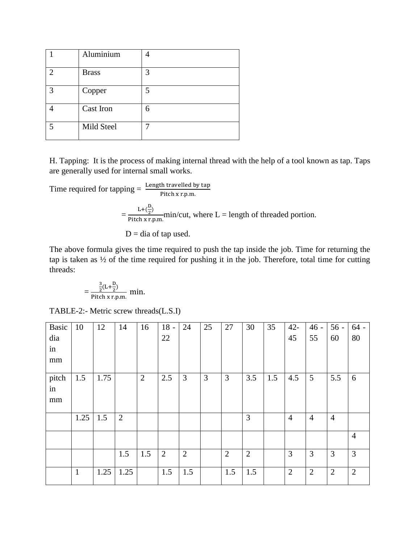|               | Aluminium    |   |
|---------------|--------------|---|
| $\mathcal{D}$ | <b>Brass</b> | 3 |
| $\mathcal{R}$ | Copper       | 5 |
|               | Cast Iron    | 6 |
|               | Mild Steel   |   |

H. Tapping: It is the process of making internal thread with the help of a tool known as tap. Taps are generally used for internal small works.

Time required for tapping  $=\frac{\text{Length}}{P}$  $= \frac{L + (\frac{D}{2})}{\frac{D + \epsilon}{2}}$  $\frac{1}{2}$  $\frac{m!}{P}$ itch x r.p.m.<br>Pitch x r.p.m.  $D = dia of tap used.$ 

The above formula gives the time required to push the tap inside the job. Time for returning the tap is taken as ½ of the time required for pushing it in the job. Therefore, total time for cutting threads:

$$
=\frac{\frac{3}{2}(L+\frac{D}{2})}{\text{Pitch x r.p.m.}}\text{ min.}
$$

TABLE-2:- Metric screw threads(L.S.I)

| <b>Basic</b><br>dia | 10           | 12   | 14             | 16             | $18 -$<br>22 | 24             | 25             | 27             | 30             | 35  | $42 -$<br>45   | $46 -$<br>55   | $56 -$<br>60   | $64 -$<br>80   |
|---------------------|--------------|------|----------------|----------------|--------------|----------------|----------------|----------------|----------------|-----|----------------|----------------|----------------|----------------|
| in<br>mm            |              |      |                |                |              |                |                |                |                |     |                |                |                |                |
| pitch<br>in<br>mm   | 1.5          | 1.75 |                | $\overline{2}$ | 2.5          | 3              | $\overline{3}$ | 3              | 3.5            | 1.5 | 4.5            | 5              | 5.5            | 6              |
|                     | 1.25         | 1.5  | $\overline{2}$ |                |              |                |                |                | 3              |     | $\overline{4}$ | $\overline{4}$ | $\overline{4}$ |                |
|                     |              |      |                |                |              |                |                |                |                |     |                |                |                | $\overline{4}$ |
|                     |              |      | 1.5            | 1.5            | 2            | $\overline{2}$ |                | $\overline{2}$ | $\overline{2}$ |     | 3              | 3              | 3              | 3              |
|                     | $\mathbf{1}$ | 1.25 | 1.25           |                | 1.5          | 1.5            |                | 1.5            | 1.5            |     | $\overline{2}$ | $\overline{2}$ | $\overline{2}$ | $\overline{2}$ |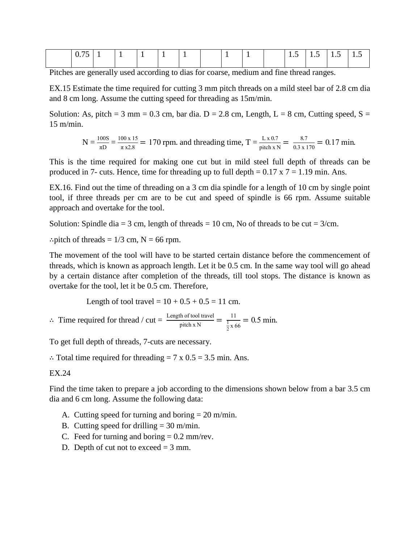| $\wedge$ $\pi$<br>$\cdots$ $\cdots$ |  |  |  |  | $\cdot$ . | $\cdot \cdot$ | -<br>$\cdot$ . | <b>1.J</b> |
|-------------------------------------|--|--|--|--|-----------|---------------|----------------|------------|
|                                     |  |  |  |  |           |               |                |            |

Pitches are generally used according to dias for coarse, medium and fine thread ranges.

EX.15 Estimate the time required for cutting 3 mm pitch threads on a mild steel bar of 2.8 cm dia and 8 cm long. Assume the cutting speed for threading as 15m/min.

Solution: As, pitch = 3 mm =  $0.3$  cm, bar dia. D =  $2.8$  cm, Length, L =  $8$  cm, Cutting speed, S = 15 m/min.

$$
N = \frac{100S}{\pi D} = \frac{100 \times 15}{\pi \times 2.8} = 170
$$
 rpm. and threading time,  $T = \frac{L \times 0.7}{\text{pitch x N}} = \frac{8.7}{0.3 \times 170} = 0.17$  min.

This is the time required for making one cut but in mild steel full depth of threads can be produced in 7- cuts. Hence, time for threading up to full depth  $= 0.17 \times 7 = 1.19$  min. Ans.

EX.16. Find out the time of threading on a 3 cm dia spindle for a length of 10 cm by single point tool, if three threads per cm are to be cut and speed of spindle is 66 rpm. Assume suitable approach and overtake for the tool.

Solution: Spindle dia = 3 cm, length of threads = 10 cm, No of threads to be cut =  $3$ /cm.

 $\therefore$ pitch of threads = 1/3 cm, N = 66 rpm.

The movement of the tool will have to be started certain distance before the commencement of threads, which is known as approach length. Let it be 0.5 cm. In the same way tool will go ahead by a certain distance after completion of the threads, till tool stops. The distance is known as overtake for the tool, let it be 0.5 cm. Therefore,

Length of tool travel =  $10 + 0.5 + 0.5 = 11$  cm.

 $\therefore$  Time required for thread / cut =  $\frac{\text{Length of tool travel}}{\text{pitch x N}} = \frac{1}{\frac{1}{2} \times \frac{1}{2}}$ 1  $\frac{1}{2 \times 66}$  =

To get full depth of threads, 7-cuts are necessary.

 $\therefore$  Total time required for threading = 7 x 0.5 = 3.5 min. Ans.

#### EX.24

Find the time taken to prepare a job according to the dimensions shown below from a bar 3.5 cm dia and 6 cm long. Assume the following data:

- A. Cutting speed for turning and boring  $= 20$  m/min.
- B. Cutting speed for drilling  $= 30$  m/min.
- C. Feed for turning and boring  $= 0.2$  mm/rev.
- D. Depth of cut not to exceed  $=$  3 mm.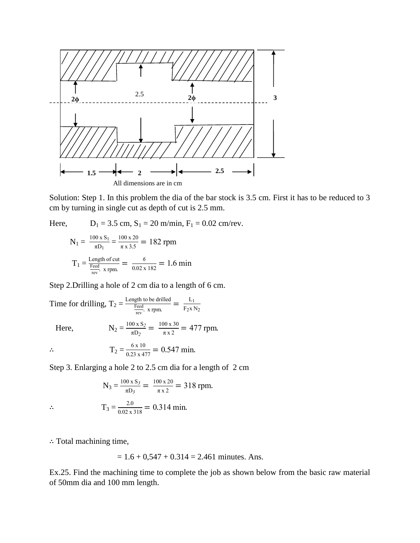

Solution: Step 1. In this problem the dia of the bar stock is 3.5 cm. First it has to be reduced to 3 cm by turning in single cut as depth of cut is 2.5 mm.

Here, 
$$
D_1 = 3.5
$$
 cm,  $S_1 = 20$  m/min,  $F_1 = 0.02$  cm/rev.  

$$
100 \times S_1 = 100 \times 20
$$

$$
N_1 = \frac{100 \times S_1}{\pi D_1} = \frac{100 \times 20}{\pi \times 3.5} = 182 \text{ rpm}
$$

$$
T_1 = \frac{\text{Length of cut}}{\frac{\text{feed}}{\text{rev}} \times \text{rpm}} = \frac{6}{0.02 \times 182} = 1.6 \text{ min}
$$

Step 2.Drilling a hole of 2 cm dia to a length of 6 cm.

Time for drilling,  $T_2 = \frac{L}{T}$ F  $\frac{\text{tith to be drilled}}{\text{reev}}$ . x rpm.  $\frac{\text{L}}{\text{F}_2 \text{X}}$  $F_2$ x  $N_2$ 

Here, N

$$
N_2 = \frac{100 \times S_2}{\pi D_2} = \frac{100 \times 30}{\pi \times 2} = 477
$$
 rpm

$$
\therefore \qquad \qquad T_2 = \frac{6 \times 10}{0.23 \times 477} = 0.547 \text{ min}
$$

Step 3. Enlarging a hole 2 to 2.5 cm dia for a length of 2 cm

 $\frac{2.0}{0.02 \times 318} = 0.314 \text{ m}$ 

$$
N_3 = \frac{100 \times S_3}{\pi D_3} = \frac{100 \times 20}{\pi \times 2} = 318 \text{ rpm}.
$$

 $T_3 = \frac{2}{0.025}$ 

: Total machining time,

$$
= 1.6 + 0.547 + 0.314 = 2.461
$$
 minutes. Ans.

Ex.25. Find the machining time to complete the job as shown below from the basic raw material of 50mm dia and 100 mm length.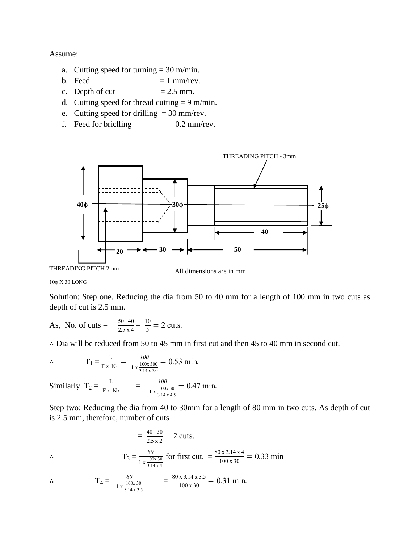Assume:

- a. Cutting speed for turning  $= 30$  m/min.
- b. Feed  $= 1$  mm/rev.
- c. Depth of cut  $= 2.5$  mm.
- d. Cutting speed for thread cutting  $= 9 \text{ m/min}$ .
- e. Cutting speed for drilling  $= 30$  mm/rev.
- f. Feed for briclling  $= 0.2$  mm/rev.



10φ X 30 LONG

Solution: Step one. Reducing the dia from 50 to 40 mm for a length of 100 mm in two cuts as depth of cut is 2.5 mm.

As, No. of cuts = 
$$
\frac{50-40}{2.5 \times 4} = \frac{10}{5} = 2
$$
 cuts.

 $\therefore$  Dia will be reduced from 50 to 45 mm in first cut and then 45 to 40 mm in second cut.

$$
\therefore \qquad \qquad T_1 = \frac{L}{F \times N_1} = \frac{100}{1 \times \frac{100 \times 300}{3.14 \times 5.0}} = 0.53 \text{ min.}
$$

Similarly  $T_2 = \frac{L}{F}$  $\frac{L}{F x N_2}$  =  $\frac{l}{1 x \frac{1}{2}}$  $1 x \frac{1}{2}$ 3.14 x 4.  $= 0.47$ 

Step two: Reducing the dia from 40 to 30mm for a length of 80 mm in two cuts. As depth of cut is 2.5 mm, therefore, number of cuts

$$
= \frac{40 - 30}{2.5 \times 2} = 2 \text{ cuts.}
$$
  
 
$$
\therefore \qquad T_3 = \frac{80}{1 \times \frac{100 \times 30}{3.14 \times 4}} \text{ for first cut. } = \frac{80 \times 3.14 \times 4}{100 \times 30} = 0.33 \text{ min}
$$

$$
\therefore \qquad T_4 = \frac{80}{1 \times \frac{100 \times 30}{3.14 \times 3.5}} = \frac{80 \times 3.14 \times 3.5}{100 \times 30} = 0.31 \text{ min.}
$$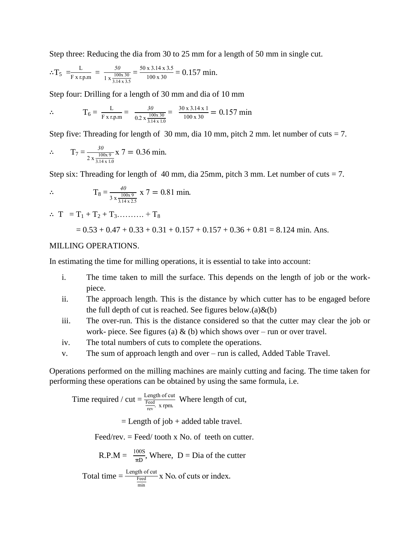Step three: Reducing the dia from 30 to 25 mm for a length of 50 mm in single cut.

$$
\therefore T_5 = \frac{L}{F \times r.p.m} = \frac{50}{1 \times \frac{100 \times 30}{3.14 \times 3.5}} = \frac{50 \times 3.14 \times 3.5}{100 \times 30} = 0.157 \text{ min.}
$$

Step four: Drilling for a length of 30 mm and dia of 10 mm

$$
\therefore \qquad T_6 = \frac{L}{F \times r.p.m} = \frac{30}{0.2 \times \frac{100 \times 30}{3.14 \times 1.0}} = \frac{30 \times 3.14 \times 1}{100 \times 30} = 0.157 \text{ min}
$$

Step five: Threading for length of 30 mm, dia 10 mm, pitch 2 mm. let number of cuts  $= 7$ .

$$
\therefore \qquad T_7 = \frac{30}{2 \times \frac{100 \times 9}{3.14 \times 1.0}} \times 7 = 0.36 \text{ min}
$$

Step six: Threading for length of 40 mm, dia 25 mm, pitch 3 mm. Let number of cuts  $= 7$ .

$$
\therefore \qquad T_8 = \frac{40}{3 \times \frac{100 \times 9}{3.14 \times 2.5}} \times 7 = 0.81 \text{ min.}
$$

$$
\therefore T = T_1 + T_2 + T_3 \dots \dots \dots + T_8
$$

$$
= 0.53 + 0.47 + 0.33 + 0.31 + 0.157 + 0.157 + 0.36 + 0.81 = 8.124
$$
 min. Ans.

#### MILLING OPERATIONS.

In estimating the time for milling operations, it is essential to take into account:

- i. The time taken to mill the surface. This depends on the length of job or the workpiece.
- ii. The approach length. This is the distance by which cutter has to be engaged before the full depth of cut is reached. See figures below.(a) $\&$ (b)
- iii. The over-run. This is the distance considered so that the cutter may clear the job or work- piece. See figures (a)  $\&$  (b) which shows over – run or over travel.
- iv. The total numbers of cuts to complete the operations.
- v. The sum of approach length and over run is called, Added Table Travel.

Operations performed on the milling machines are mainly cutting and facing. The time taken for performing these operations can be obtained by using the same formula, i.e.

Time required / cut = 
$$
\frac{\text{Length of cut}}{\frac{\text{Feed}}{\text{rev}}}
$$
 Where length of cut,  
= Length of job + added table travel.  
Feed/rev. = Feed/ tooth x No. of teeth on cutter.

R.P.M = 
$$
\frac{100S}{\pi D}
$$
, Where, D = Dia of the cutter

Total time = 
$$
\frac{\text{Length of cut}}{\text{feed}} \times \text{No. of cuts or index.}
$$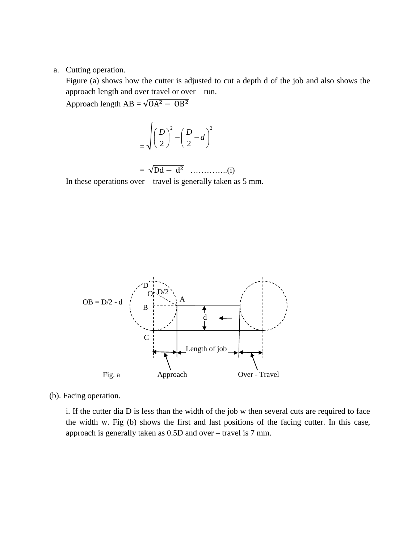#### a. Cutting operation.

Figure (a) shows how the cutter is adjusted to cut a depth d of the job and also shows the approach length and over travel or over – run.

Approach length  $AB = \sqrt{OA^2 - OB^2}$ 

$$
=\sqrt{\left(\frac{D}{2}\right)^2-\left(\frac{D}{2}-d\right)^2}
$$

$$
= \sqrt{Dd - d^2} \quad \dots \dots \dots \dots (i)
$$

In these operations over – travel is generally taken as 5 mm.



(b). Facing operation.

i. If the cutter dia D is less than the width of the job w then several cuts are required to face the width w. Fig (b) shows the first and last positions of the facing cutter. In this case, approach is generally taken as 0.5D and over – travel is 7 mm.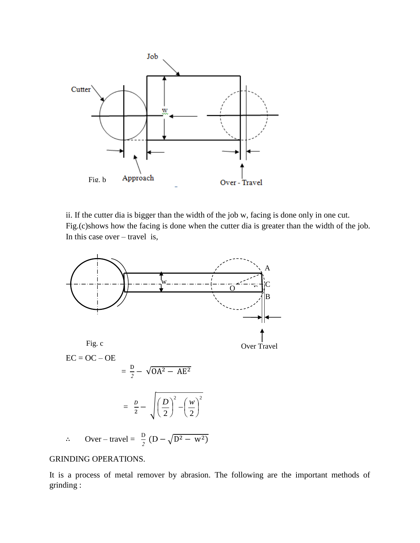

ii. If the cutter dia is bigger than the width of the job w, facing is done only in one cut. Fig.(c)shows how the facing is done when the cutter dia is greater than the width of the job. In this case over – travel is,



#### GRINDING OPERATIONS.

It is a process of metal remover by abrasion. The following are the important methods of grinding :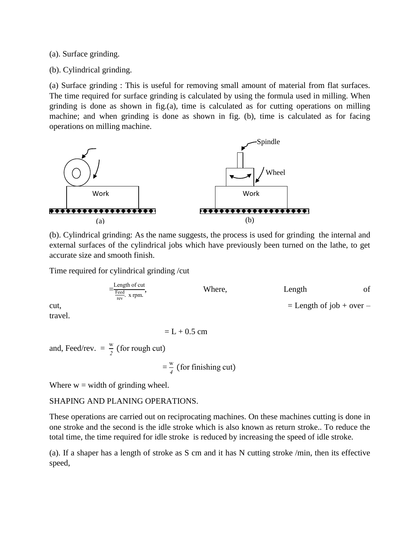(a). Surface grinding.

(b). Cylindrical grinding.

(a) Surface grinding : This is useful for removing small amount of material from flat surfaces. The time required for surface grinding is calculated by using the formula used in milling. When grinding is done as shown in fig.(a), time is calculated as for cutting operations on milling machine; and when grinding is done as shown in fig. (b), time is calculated as for facing operations on milling machine.



(b). Cylindrical grinding: As the name suggests, the process is used for grinding the internal and external surfaces of the cylindrical jobs which have previously been turned on the lathe, to get accurate size and smooth finish.

Time required for cylindrical grinding /cut

 $=$ L F  $\frac{ccu}{rev}$ . , Where, Length of cut,  $=$  Length of job + over –

travel.

$$
= L + 0.5 \text{ cm}
$$

and, Feed/rev.  $=$   $\frac{w}{2}$  (

 $=$   $\frac{1}{2}$   $\frac{1}{2}$   $\frac{1}{2}$   $\frac{1}{2}$   $\frac{1}{2}$   $\frac{1}{2}$   $\frac{1}{2}$   $\frac{1}{2}$   $\frac{1}{2}$   $\frac{1}{2}$   $\frac{1}{2}$   $\frac{1}{2}$ w  $\frac{1}{4}$  (

Where  $w =$  width of grinding wheel.

### SHAPING AND PLANING OPERATIONS.

These operations are carried out on reciprocating machines. On these machines cutting is done in one stroke and the second is the idle stroke which is also known as return stroke.. To reduce the total time, the time required for idle stroke is reduced by increasing the speed of idle stroke.

(a). If a shaper has a length of stroke as S cm and it has N cutting stroke /min, then its effective speed,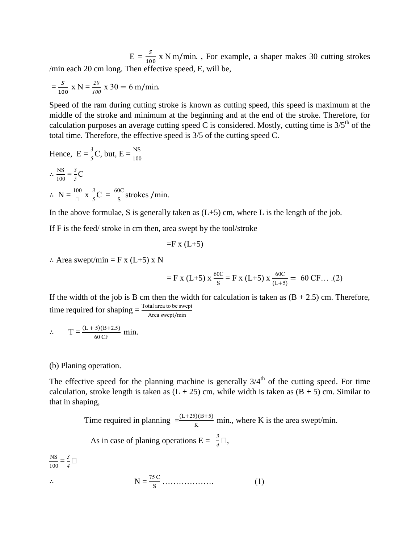$E = \frac{3}{100}$  x N m/min., For example, a shaper makes 30 cutting strokes /min each 20 cm long. Then effective speed, E, will be,

$$
= \frac{s}{100} \times N = \frac{20}{100} \times 30 = 6 \text{ m/min.}
$$

Speed of the ram during cutting stroke is known as cutting speed, this speed is maximum at the middle of the stroke and minimum at the beginning and at the end of the stroke. Therefore, for calculation purposes an average cutting speed C is considered. Mostly, cutting time is  $3/5<sup>th</sup>$  of the total time. Therefore, the effective speed is 3/5 of the cutting speed C.

Hence, 
$$
E = \frac{3}{5}C
$$
, but,  $E = \frac{NS}{100}$   
\n
$$
\therefore \frac{NS}{100} = \frac{3}{5}C
$$
\n
$$
\therefore N = \frac{100}{\Box} \times \frac{3}{5}C = \frac{60C}{S} \text{strokes } / \text{min.}
$$

In the above formulae, S is generally taken as  $(L+5)$  cm, where L is the length of the job.

If F is the feed/ stroke in cm then, area swept by the tool/stroke

$$
=
$$
F x (L+5)

 $\therefore$  Area swept/min = F x (L+5) x N

$$
= F x (L+5) x \frac{60C}{S} = F x (L+5) x \frac{60C}{(L+5)} = 60 CF... (2)
$$

If the width of the job is B cm then the width for calculation is taken as  $(B + 2.5)$  cm. Therefore, time required for shaping  $=\frac{\text{Total}}{A}$ 

$$
\therefore T = \frac{(L+5)(B+2.5)}{60 \text{ CF}} \text{ min.}
$$

(b) Planing operation.

The effective speed for the planning machine is generally  $3/4<sup>th</sup>$  of the cutting speed. For time calculation, stroke length is taken as  $(L + 25)$  cm, while width is taken as  $(B + 5)$  cm. Similar to that in shaping,

Time required in planning  $=\frac{(L+25)(B+5)}{K}$  min., where K is the area swept/min.

As in case of planing operations  $E = \frac{3}{4} \Box$ ,

$$
\frac{\text{NS}}{100} = \frac{3}{4} \Box
$$
  
\n
$$
\therefore \qquad \text{N} = \frac{75 \text{ C}}{\text{s}} \dots \dots \dots \dots \tag{1}
$$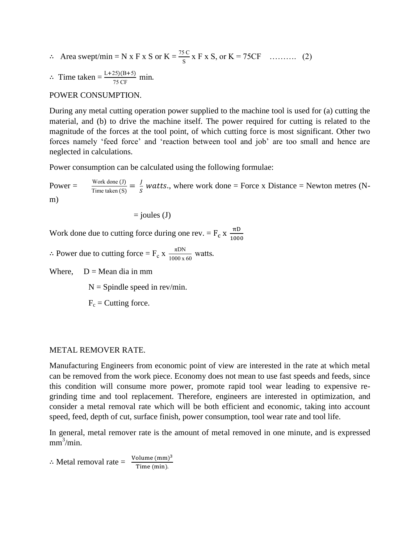$\therefore$  Area swept/min = N x F x S or K =  $\frac{75C}{s}$  x F x S, or K = 75CF .......... (2)

$$
\therefore
$$
 Time taken  $=$   $\frac{\text{L}+25(\text{B}+5)}{75 \text{ CF}}$  min.

#### POWER CONSUMPTION.

During any metal cutting operation power supplied to the machine tool is used for (a) cutting the material, and (b) to drive the machine itself. The power required for cutting is related to the magnitude of the forces at the tool point, of which cutting force is most significant. Other two forces namely 'feed force' and 'reaction between tool and job' are too small and hence are neglected in calculations.

Power consumption can be calculated using the following formulae:

Power =  $\frac{W}{T}$  $\frac{\text{Work done (J)}}{\text{Time taken (S)}} = \frac{J}{S}$  $\frac{J}{s}$  watts., where work done = Force x Distance = Newton metres (Nm)

$$
= joules (J)
$$

Work done due to cutting force during one rev. =  $F_c x \frac{\pi}{40}$  $\mathbf 1$ 

 $\therefore$  Power due to cutting force = F<sub>c</sub> x  $\frac{\pi}{100}$  $\frac{1000 \times 60}{1000 \times 60}$  W

Where,  $D = \text{Mean dia in mm}$ 

 $N =$  Spindle speed in rev/min.

 $F_c$  = Cutting force.

#### METAL REMOVER RATE.

Manufacturing Engineers from economic point of view are interested in the rate at which metal can be removed from the work piece. Economy does not mean to use fast speeds and feeds, since this condition will consume more power, promote rapid tool wear leading to expensive regrinding time and tool replacement. Therefore, engineers are interested in optimization, and consider a metal removal rate which will be both efficient and economic, taking into account speed, feed, depth of cut, surface finish, power consumption, tool wear rate and tool life.

In general, metal remover rate is the amount of metal removed in one minute, and is expressed  $mm^3/min.$ 

 $\therefore$  Metal removal rate =  $\frac{\text{Volume (mm)}^3}{\text{Time (min)}}$ T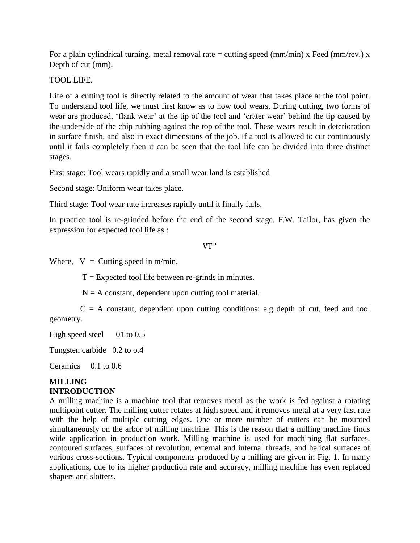For a plain cylindrical turning, metal removal rate = cutting speed  $(\text{mm/min})$  x Feed  $(\text{mm/rev.})$  x Depth of cut (mm).

TOOL LIFE.

Life of a cutting tool is directly related to the amount of wear that takes place at the tool point. To understand tool life, we must first know as to how tool wears. During cutting, two forms of wear are produced, 'flank wear' at the tip of the tool and 'crater wear' behind the tip caused by the underside of the chip rubbing against the top of the tool. These wears result in deterioration in surface finish, and also in exact dimensions of the job. If a tool is allowed to cut continuously until it fails completely then it can be seen that the tool life can be divided into three distinct stages.

First stage: Tool wears rapidly and a small wear land is established

Second stage: Uniform wear takes place.

Third stage: Tool wear rate increases rapidly until it finally fails.

In practice tool is re-grinded before the end of the second stage. F.W. Tailor, has given the expression for expected tool life as :

#### $VT^n$

Where,  $V =$  Cutting speed in m/min.

 $T =$  Expected tool life between re-grinds in minutes.

 $N = A$  constant, dependent upon cutting tool material.

 $C = A$  constant, dependent upon cutting conditions; e.g depth of cut, feed and tool geometry.

High speed steel  $01$  to 0.5

Tungsten carbide 0.2 to o.4

Ceramics 0.1 to 0.6

#### **MILLING INTRODUCTION**

A milling machine is a machine tool that removes metal as the work is fed against a rotating multipoint cutter. The milling cutter rotates at high speed and it removes metal at a very fast rate with the help of multiple cutting edges. One or more number of cutters can be mounted simultaneously on the arbor of milling machine. This is the reason that a milling machine finds wide application in production work. Milling machine is used for machining flat surfaces, contoured surfaces, surfaces of revolution, external and internal threads, and helical surfaces of various cross-sections. Typical components produced by a milling are given in Fig. 1. In many applications, due to its higher production rate and accuracy, milling machine has even replaced shapers and slotters.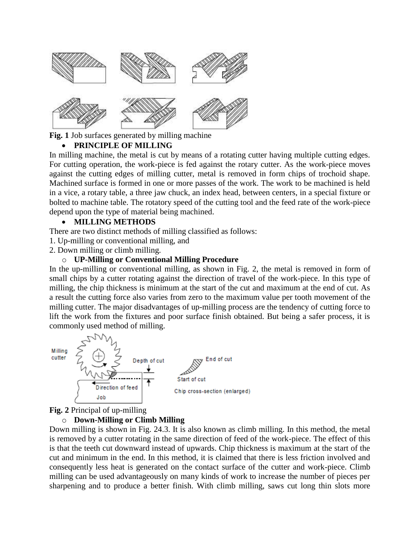

**Fig. 1** Job surfaces generated by milling machine

# **PRINCIPLE OF MILLING**

In milling machine, the metal is cut by means of a rotating cutter having multiple cutting edges. For cutting operation, the work-piece is fed against the rotary cutter. As the work-piece moves against the cutting edges of milling cutter, metal is removed in form chips of trochoid shape. Machined surface is formed in one or more passes of the work. The work to be machined is held in a vice, a rotary table, a three jaw chuck, an index head, between centers, in a special fixture or bolted to machine table. The rotatory speed of the cutting tool and the feed rate of the work-piece depend upon the type of material being machined.

# **MILLING METHODS**

There are two distinct methods of milling classified as follows:

1. Up-milling or conventional milling, and

2. Down milling or climb milling.

# o **UP-Milling or Conventional Milling Procedure**

In the up-milling or conventional milling, as shown in Fig. 2, the metal is removed in form of small chips by a cutter rotating against the direction of travel of the work-piece. In this type of milling, the chip thickness is minimum at the start of the cut and maximum at the end of cut. As a result the cutting force also varies from zero to the maximum value per tooth movement of the milling cutter. The major disadvantages of up-milling process are the tendency of cutting force to lift the work from the fixtures and poor surface finish obtained. But being a safer process, it is commonly used method of milling.



**Fig. 2** Principal of up-milling

# o **Down-Milling or Climb Milling**

Down milling is shown in Fig. 24.3. It is also known as climb milling. In this method, the metal is removed by a cutter rotating in the same direction of feed of the work-piece. The effect of this is that the teeth cut downward instead of upwards. Chip thickness is maximum at the start of the cut and minimum in the end. In this method, it is claimed that there is less friction involved and consequently less heat is generated on the contact surface of the cutter and work-piece. Climb milling can be used advantageously on many kinds of work to increase the number of pieces per sharpening and to produce a better finish. With climb milling, saws cut long thin slots more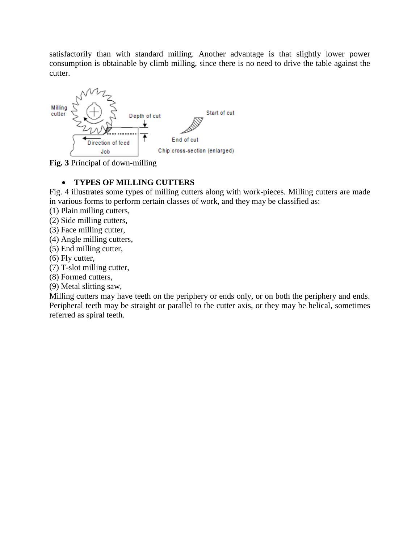satisfactorily than with standard milling. Another advantage is that slightly lower power consumption is obtainable by climb milling, since there is no need to drive the table against the cutter.



**Fig. 3** Principal of down-milling

# **TYPES OF MILLING CUTTERS**

Fig. 4 illustrates some types of milling cutters along with work-pieces. Milling cutters are made in various forms to perform certain classes of work, and they may be classified as:

(1) Plain milling cutters,

(2) Side milling cutters,

(3) Face milling cutter,

- (4) Angle milling cutters,
- (5) End milling cutter,

(6) Fly cutter,

(7) T-slot milling cutter,

(8) Formed cutters,

(9) Metal slitting saw,

Milling cutters may have teeth on the periphery or ends only, or on both the periphery and ends. Peripheral teeth may be straight or parallel to the cutter axis, or they may be helical, sometimes referred as spiral teeth.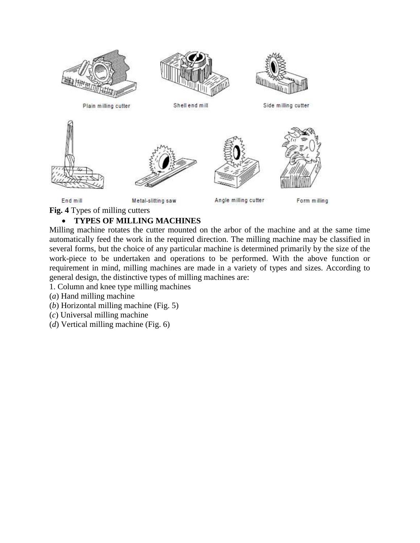

# **TYPES OF MILLING MACHINES**

Milling machine rotates the cutter mounted on the arbor of the machine and at the same time automatically feed the work in the required direction. The milling machine may be classified in several forms, but the choice of any particular machine is determined primarily by the size of the work-piece to be undertaken and operations to be performed. With the above function or requirement in mind, milling machines are made in a variety of types and sizes. According to general design, the distinctive types of milling machines are:

- 1. Column and knee type milling machines
- (*a*) Hand milling machine
- (*b*) Horizontal milling machine (Fig. 5)
- (*c*) Universal milling machine
- (*d*) Vertical milling machine (Fig. 6)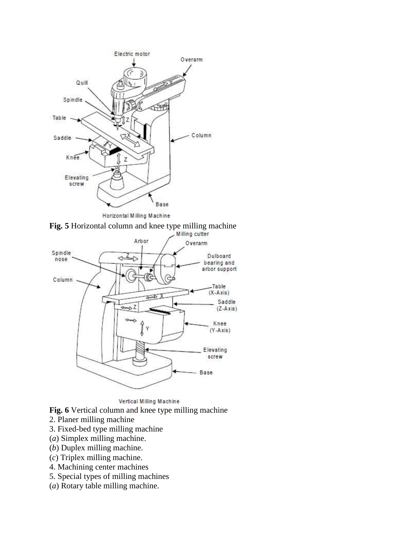





Vertical Milling Machine

**Fig. 6** Vertical column and knee type milling machine

- 2. Planer milling machine
- 3. Fixed-bed type milling machine
- (*a*) Simplex milling machine.
- (*b*) Duplex milling machine.
- (*c*) Triplex milling machine.
- 4. Machining center machines
- 5. Special types of milling machines
- (*a*) Rotary table milling machine.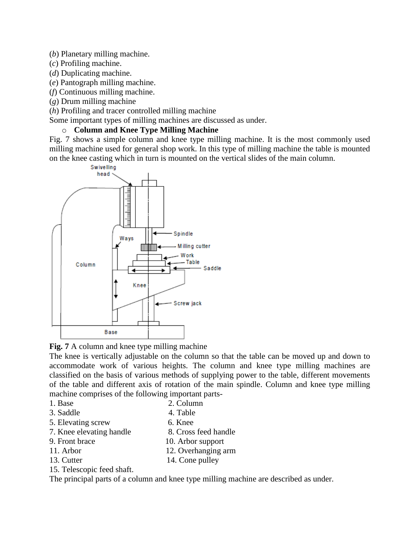- (*b*) Planetary milling machine.
- (*c*) Profiling machine.
- (*d*) Duplicating machine.
- (*e*) Pantograph milling machine.
- (*f*) Continuous milling machine.
- (*g*) Drum milling machine
- (*h*) Profiling and tracer controlled milling machine
- Some important types of milling machines are discussed as under.

# o **Column and Knee Type Milling Machine**

Fig. 7 shows a simple column and knee type milling machine. It is the most commonly used milling machine used for general shop work. In this type of milling machine the table is mounted on the knee casting which in turn is mounted on the vertical slides of the main column.



# **Fig. 7** A column and knee type milling machine

The knee is vertically adjustable on the column so that the table can be moved up and down to accommodate work of various heights. The column and knee type milling machines are classified on the basis of various methods of supplying power to the table, different movements of the table and different axis of rotation of the main spindle. Column and knee type milling machine comprises of the following important parts-

- 1. Base 2. Column
- 3. Saddle 4. Table
- 5. Elevating screw 6. Knee
- 7. Knee elevating handle 8. Cross feed handle<br>9. Front brace 10. Arbor support
- 10. Arbor support
- 11. Arbor 12. Overhanging arm
- 13. Cutter 14. Cone pulley
- 15. Telescopic feed shaft.

The principal parts of a column and knee type milling machine are described as under.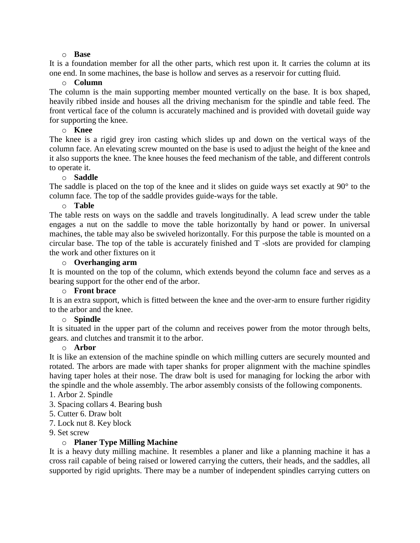#### o **Base**

It is a foundation member for all the other parts, which rest upon it. It carries the column at its one end. In some machines, the base is hollow and serves as a reservoir for cutting fluid.

### o **Column**

The column is the main supporting member mounted vertically on the base. It is box shaped, heavily ribbed inside and houses all the driving mechanism for the spindle and table feed. The front vertical face of the column is accurately machined and is provided with dovetail guide way for supporting the knee.

### o **Knee**

The knee is a rigid grey iron casting which slides up and down on the vertical ways of the column face. An elevating screw mounted on the base is used to adjust the height of the knee and it also supports the knee. The knee houses the feed mechanism of the table, and different controls to operate it.

# o **Saddle**

The saddle is placed on the top of the knee and it slides on guide ways set exactly at 90° to the column face. The top of the saddle provides guide-ways for the table.

### o **Table**

The table rests on ways on the saddle and travels longitudinally. A lead screw under the table engages a nut on the saddle to move the table horizontally by hand or power. In universal machines, the table may also be swiveled horizontally. For this purpose the table is mounted on a circular base. The top of the table is accurately finished and T -slots are provided for clamping the work and other fixtures on it

# o **Overhanging arm**

It is mounted on the top of the column, which extends beyond the column face and serves as a bearing support for the other end of the arbor.

### o **Front brace**

It is an extra support, which is fitted between the knee and the over-arm to ensure further rigidity to the arbor and the knee.

# o **Spindle**

It is situated in the upper part of the column and receives power from the motor through belts, gears. and clutches and transmit it to the arbor.

### o **Arbor**

It is like an extension of the machine spindle on which milling cutters are securely mounted and rotated. The arbors are made with taper shanks for proper alignment with the machine spindles having taper holes at their nose. The draw bolt is used for managing for locking the arbor with the spindle and the whole assembly. The arbor assembly consists of the following components.

# 1. Arbor 2. Spindle

- 3. Spacing collars 4. Bearing bush
- 5. Cutter 6. Draw bolt
- 7. Lock nut 8. Key block
- 9. Set screw

# o **Planer Type Milling Machine**

It is a heavy duty milling machine. It resembles a planer and like a planning machine it has a cross rail capable of being raised or lowered carrying the cutters, their heads, and the saddles, all supported by rigid uprights. There may be a number of independent spindles carrying cutters on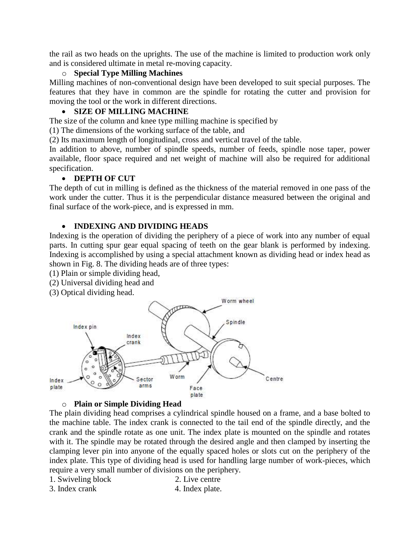the rail as two heads on the uprights. The use of the machine is limited to production work only and is considered ultimate in metal re-moving capacity.

# o **Special Type Milling Machines**

Milling machines of non-conventional design have been developed to suit special purposes. The features that they have in common are the spindle for rotating the cutter and provision for moving the tool or the work in different directions.

# **SIZE OF MILLING MACHINE**

The size of the column and knee type milling machine is specified by

(1) The dimensions of the working surface of the table, and

(2) Its maximum length of longitudinal, cross and vertical travel of the table.

In addition to above, number of spindle speeds, number of feeds, spindle nose taper, power available, floor space required and net weight of machine will also be required for additional specification.

### **DEPTH OF CUT**

The depth of cut in milling is defined as the thickness of the material removed in one pass of the work under the cutter. Thus it is the perpendicular distance measured between the original and final surface of the work-piece, and is expressed in mm.

# **INDEXING AND DIVIDING HEADS**

Indexing is the operation of dividing the periphery of a piece of work into any number of equal parts. In cutting spur gear equal spacing of teeth on the gear blank is performed by indexing. Indexing is accomplished by using a special attachment known as dividing head or index head as shown in Fig. 8. The dividing heads are of three types:

(1) Plain or simple dividing head,

- (2) Universal dividing head and
- (3) Optical dividing head.



# o **Plain or Simple Dividing Head**

The plain dividing head comprises a cylindrical spindle housed on a frame, and a base bolted to the machine table. The index crank is connected to the tail end of the spindle directly, and the crank and the spindle rotate as one unit. The index plate is mounted on the spindle and rotates with it. The spindle may be rotated through the desired angle and then clamped by inserting the clamping lever pin into anyone of the equally spaced holes or slots cut on the periphery of the index plate. This type of dividing head is used for handling large number of work-pieces, which require a very small number of divisions on the periphery.

- 1. Swiveling block 2. Live centre
- 3. Index crank 4. Index plate.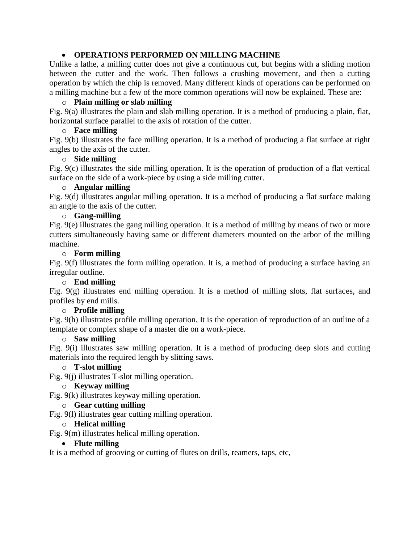# **OPERATIONS PERFORMED ON MILLING MACHINE**

Unlike a lathe, a milling cutter does not give a continuous cut, but begins with a sliding motion between the cutter and the work. Then follows a crushing movement, and then a cutting operation by which the chip is removed. Many different kinds of operations can be performed on a milling machine but a few of the more common operations will now be explained. These are:

## o **Plain milling or slab milling**

Fig. 9(a) illustrates the plain and slab milling operation. It is a method of producing a plain, flat, horizontal surface parallel to the axis of rotation of the cutter.

## o **Face milling**

Fig. 9(b) illustrates the face milling operation. It is a method of producing a flat surface at right angles to the axis of the cutter.

# o **Side milling**

Fig. 9(c) illustrates the side milling operation. It is the operation of production of a flat vertical surface on the side of a work-piece by using a side milling cutter.

### o **Angular milling**

Fig. 9(d) illustrates angular milling operation. It is a method of producing a flat surface making an angle to the axis of the cutter.

# o **Gang-milling**

Fig. 9(e) illustrates the gang milling operation. It is a method of milling by means of two or more cutters simultaneously having same or different diameters mounted on the arbor of the milling machine.

# o **Form milling**

Fig. 9(f) illustrates the form milling operation. It is, a method of producing a surface having an irregular outline.

### o **End milling**

Fig.  $9(g)$  illustrates end milling operation. It is a method of milling slots, flat surfaces, and profiles by end mills.

### o **Profile milling**

Fig. 9(h) illustrates profile milling operation. It is the operation of reproduction of an outline of a template or complex shape of a master die on a work-piece.

### o **Saw milling**

Fig. 9(i) illustrates saw milling operation. It is a method of producing deep slots and cutting materials into the required length by slitting saws.

# o **T-slot milling**

Fig. 9(j) illustrates T-slot milling operation.

# o **Keyway milling**

Fig. 9(k) illustrates keyway milling operation.

# o **Gear cutting milling**

Fig. 9(l) illustrates gear cutting milling operation.

### o **Helical milling**

Fig. 9(m) illustrates helical milling operation.

### **Flute milling**

It is a method of grooving or cutting of flutes on drills, reamers, taps, etc,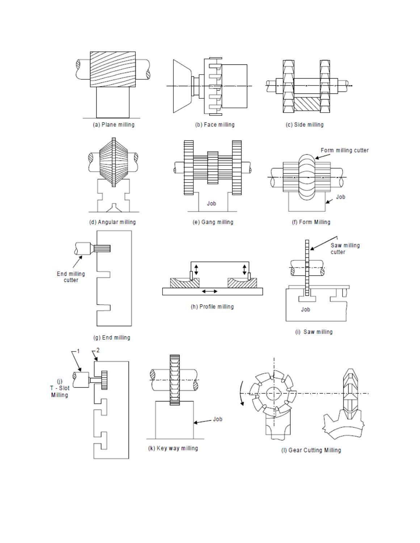